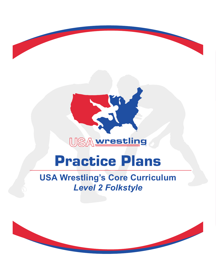

®

# Practice Plans

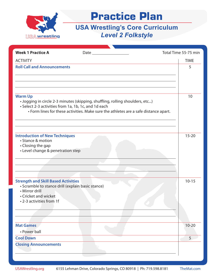

| <b>Week 1 Practice A</b>                                                                                                                                              |                                                                                                                                                                       | Total Time 55-75 min |
|-----------------------------------------------------------------------------------------------------------------------------------------------------------------------|-----------------------------------------------------------------------------------------------------------------------------------------------------------------------|----------------------|
| <b>ACTIVITY</b>                                                                                                                                                       |                                                                                                                                                                       | <b>TIME</b>          |
| <b>Roll Call and Announcements</b>                                                                                                                                    |                                                                                                                                                                       | 5                    |
| <b>Warm Up</b><br>• Select 2-3 activities from 1a, 1b, 1c, and 1d each                                                                                                | • Jogging in circle 2-3 minutes (skipping, shuffling, rolling shoulders, etc)<br>• Form lines for these activities. Make sure the athletes are a safe distance apart. | 10                   |
| <b>Introduction of New Techniques</b><br>• Stance & motion<br>• Closing the gap<br>• Level change & penetration step                                                  |                                                                                                                                                                       | $15 - 20$            |
| <b>Strength and Skill Based Activities</b><br>• Scramble to stance drill (explain basic stance)<br>• Mirror drill<br>• Cricket and wicket<br>• 2-3 activities from 1f |                                                                                                                                                                       | $10 - 15$            |
| <b>Mat Games</b><br>• Power ball                                                                                                                                      |                                                                                                                                                                       | $10 - 20$            |
| <b>Cool Down</b>                                                                                                                                                      |                                                                                                                                                                       | 5                    |
| <b>Closing Announcements</b>                                                                                                                                          |                                                                                                                                                                       |                      |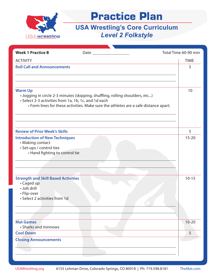

| <b>Week 1 Practice B</b>                                                                                                 |                                                                                                                                                                       | Total Time 60-90 min |
|--------------------------------------------------------------------------------------------------------------------------|-----------------------------------------------------------------------------------------------------------------------------------------------------------------------|----------------------|
| <b>ACTIVITY</b>                                                                                                          |                                                                                                                                                                       | <b>TIME</b>          |
| <b>Roll Call and Announcements</b>                                                                                       |                                                                                                                                                                       | 5                    |
| <b>Warm Up</b><br>• Select 2-3 activities from 1a, 1b, 1c, and 1d each                                                   | · Jogging in circle 2-3 minutes (skipping, shuffling, rolling shoulders, etc)<br>• Form lines for these activities. Make sure the athletes are a safe distance apart. | 10                   |
| <b>Review of Prior Week's Skills</b>                                                                                     |                                                                                                                                                                       | 5                    |
| <b>Introduction of New Techniques</b><br>• Making contact<br>· Set-ups / control ties<br>• Hand fighting to control tie  |                                                                                                                                                                       | $15 - 20$            |
| <b>Strength and Skill Based Activities</b><br>• Caged up<br>· Jolt drill<br>• Flip-over<br>• Select 2 activities from 1d |                                                                                                                                                                       | $10 - 15$            |
| <b>Mat Games</b><br>• Sharks and minnows                                                                                 |                                                                                                                                                                       | $10 - 20$            |
| <b>Cool Down</b>                                                                                                         |                                                                                                                                                                       | 5                    |
| <b>Closing Announcements</b>                                                                                             |                                                                                                                                                                       |                      |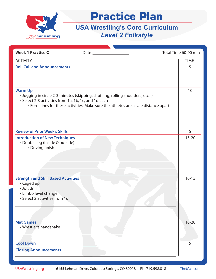

| <b>Week 1 Practice C</b>                                                                                                          |                                                                                                                                                                       | Total Time 60-90 min |
|-----------------------------------------------------------------------------------------------------------------------------------|-----------------------------------------------------------------------------------------------------------------------------------------------------------------------|----------------------|
| <b>ACTIVITY</b>                                                                                                                   |                                                                                                                                                                       | <b>TIME</b>          |
| <b>Roll Call and Announcements</b>                                                                                                |                                                                                                                                                                       | 5                    |
| <b>Warm Up</b><br>• Select 2-3 activities from 1a, 1b, 1c, and 1d each                                                            | · Jogging in circle 2-3 minutes (skipping, shuffling, rolling shoulders, etc)<br>• Form lines for these activities. Make sure the athletes are a safe distance apart. | 10                   |
| <b>Review of Prior Week's Skills</b>                                                                                              |                                                                                                                                                                       | 5                    |
| <b>Introduction of New Techniques</b><br>· Double leg (inside & outside)<br>• Driving finish                                      |                                                                                                                                                                       | $15 - 20$            |
| <b>Strength and Skill Based Activities</b><br>• Caged up<br>· Jolt drill<br>• Limbo level change<br>• Select 2 activities from 1d |                                                                                                                                                                       | $10 - 15$            |
| <b>Mat Games</b><br>· Wrestler's handshake                                                                                        |                                                                                                                                                                       | $10 - 20$            |
| <b>Cool Down</b>                                                                                                                  |                                                                                                                                                                       | 5                    |
| <b>Closing Announcements</b>                                                                                                      |                                                                                                                                                                       |                      |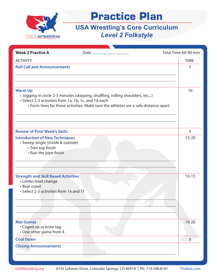

| <b>Week 2 Practice A</b>                                                                                                     | Date $\_\_\_\_\_\_\_\_\_\_\_\_\_\_\_\_\_\_\_\_\_$                                                                                                                     | Total Time 60-90 min |
|------------------------------------------------------------------------------------------------------------------------------|-----------------------------------------------------------------------------------------------------------------------------------------------------------------------|----------------------|
| <b>ACTIVITY</b>                                                                                                              |                                                                                                                                                                       | <b>TIME</b>          |
| <b>Roll Call and Announcements</b>                                                                                           |                                                                                                                                                                       | 5                    |
| <b>Warm Up</b><br>• Select 2-3 activities from 1a, 1b, 1c, and 1d each                                                       | · Jogging in circle 2-3 minutes (skipping, shuffling, rolling shoulders, etc)<br>• Form lines for these activities. Make sure the athletes are a safe distance apart. | 10                   |
| <b>Review of Prior Week's Skills</b>                                                                                         |                                                                                                                                                                       | 5                    |
| <b>Introduction of New Techniques</b><br>· Sweep single (inside & outside)<br>• Tree top finish<br>• Run the pipe finish     |                                                                                                                                                                       | $15 - 20$            |
| <b>Strength and Skill Based Activities</b><br>• Limbo level change<br>• Bear crawl<br>• Select 2-3 activities from 1e and 1f |                                                                                                                                                                       | $10 - 15$            |
| <b>Mat Games</b><br>• Caged up or knee tag<br>• One other game from 4                                                        |                                                                                                                                                                       | $10 - 20$            |
| <b>Cool Down</b>                                                                                                             |                                                                                                                                                                       | 5                    |
| <b>Closing Announcements</b>                                                                                                 |                                                                                                                                                                       |                      |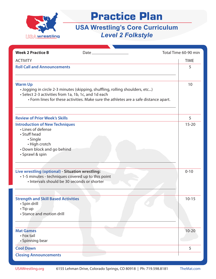

| <b>Week 2 Practice B</b>                                                                                                                                  | $Date$ <sub><math>-</math></sub>                                                                                                                                      | Total Time 60-90 min |
|-----------------------------------------------------------------------------------------------------------------------------------------------------------|-----------------------------------------------------------------------------------------------------------------------------------------------------------------------|----------------------|
| <b>ACTIVITY</b>                                                                                                                                           |                                                                                                                                                                       | <b>TIME</b>          |
| <b>Roll Call and Announcements</b>                                                                                                                        |                                                                                                                                                                       | 5                    |
|                                                                                                                                                           |                                                                                                                                                                       |                      |
| <b>Warm Up</b><br>• Select 2-3 activities from 1a, 1b, 1c, and 1d each                                                                                    | . Jogging in circle 2-3 minutes (skipping, shuffling, rolling shoulders, etc)<br>• Form lines for these activities. Make sure the athletes are a safe distance apart. | 10                   |
| <b>Review of Prior Week's Skills</b>                                                                                                                      |                                                                                                                                                                       | 5                    |
| <b>Introduction of New Techniques</b><br>• Lines of defense<br>• Stuff head<br>• Single<br>• High crotch<br>• Down block and go behind<br>• Sprawl & spin |                                                                                                                                                                       | $15 - 20$            |
| Live wrestling (optional) - Situation wrestling:<br>· 1-5 minutes - techniques covered up to this point<br>· Intervals should be 30 seconds or shorter    |                                                                                                                                                                       | $0 - 10$             |
| <b>Strength and Skill Based Activities</b><br>• Spin drill<br>• Tip up<br>• Stance and motion drill                                                       |                                                                                                                                                                       | $10 - 15$            |
| <b>Mat Games</b><br>• Fox tail<br>• Spinning bear                                                                                                         |                                                                                                                                                                       | $10 - 20$            |
| <b>Cool Down</b>                                                                                                                                          |                                                                                                                                                                       | 5                    |
| <b>Closing Announcements</b>                                                                                                                              |                                                                                                                                                                       |                      |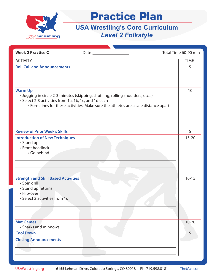

| <b>Week 2 Practice C</b>                                                                                                         |                                                                                                                                                                       | Total Time 60-90 min |
|----------------------------------------------------------------------------------------------------------------------------------|-----------------------------------------------------------------------------------------------------------------------------------------------------------------------|----------------------|
| <b>ACTIVITY</b>                                                                                                                  |                                                                                                                                                                       | <b>TIME</b>          |
| <b>Roll Call and Announcements</b>                                                                                               |                                                                                                                                                                       | 5                    |
| <b>Warm Up</b><br>• Select 2-3 activities from 1a, 1b, 1c, and 1d each                                                           | · Jogging in circle 2-3 minutes (skipping, shuffling, rolling shoulders, etc)<br>• Form lines for these activities. Make sure the athletes are a safe distance apart. | 10                   |
| <b>Review of Prior Week's Skills</b>                                                                                             |                                                                                                                                                                       | 5                    |
| <b>Introduction of New Techniques</b><br>• Stand up<br>• Front headlock<br>· Go behind                                           |                                                                                                                                                                       | $15 - 20$            |
| <b>Strength and Skill Based Activities</b><br>· Spin drill<br>• Stand up returns<br>• Flip-over<br>• Select 2 activities from 1d |                                                                                                                                                                       | $10 - 15$            |
| <b>Mat Games</b><br>• Sharks and minnows                                                                                         |                                                                                                                                                                       | $10 - 20$            |
| <b>Cool Down</b>                                                                                                                 |                                                                                                                                                                       | 5                    |
| <b>Closing Announcements</b>                                                                                                     |                                                                                                                                                                       |                      |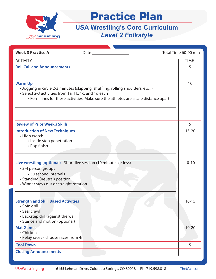

| <b>Week 3 Practice A</b>                               | Date $\_\_$                                                                          | Total Time 60-90 min |             |
|--------------------------------------------------------|--------------------------------------------------------------------------------------|----------------------|-------------|
| <b>ACTIVITY</b>                                        |                                                                                      |                      | <b>TIME</b> |
| <b>Roll Call and Announcements</b>                     |                                                                                      |                      | 5           |
|                                                        |                                                                                      |                      |             |
| <b>Warm Up</b>                                         |                                                                                      |                      | 10          |
|                                                        | · Jogging in circle 2-3 minutes (skipping, shuffling, rolling shoulders, etc)        |                      |             |
| • Select 2-3 activities from 1a, 1b, 1c, and 1d each   |                                                                                      |                      |             |
|                                                        | • Form lines for these activities. Make sure the athletes are a safe distance apart. |                      |             |
|                                                        |                                                                                      |                      |             |
|                                                        |                                                                                      |                      |             |
|                                                        |                                                                                      |                      |             |
| <b>Review of Prior Week's Skills</b>                   |                                                                                      |                      | 5           |
| <b>Introduction of New Techniques</b>                  |                                                                                      |                      | $15 - 20$   |
| • High crotch<br>· Inside step penetration             |                                                                                      |                      |             |
| • Pop finish                                           |                                                                                      |                      |             |
|                                                        |                                                                                      |                      |             |
|                                                        |                                                                                      |                      |             |
|                                                        | Live wrestling (optional) - Short live session (10 minutes or less)                  |                      | $0 - 10$    |
| • 3-4 person groups                                    |                                                                                      |                      |             |
| • 30 second intervals<br>• Standing (neutral) position |                                                                                      |                      |             |
| • Winner stays out or straight rotation                |                                                                                      |                      |             |
|                                                        |                                                                                      |                      |             |
|                                                        |                                                                                      |                      |             |
| <b>Strength and Skill Based Activities</b>             |                                                                                      |                      | $10 - 15$   |
| · Spin drill<br>· Seal crawl                           |                                                                                      |                      |             |
| • Backstep drill against the wall                      |                                                                                      |                      |             |
| • Stance and motion (optional)                         |                                                                                      |                      |             |
| <b>Mat Games</b>                                       |                                                                                      |                      | $10 - 20$   |
| • Chicken                                              |                                                                                      |                      |             |
| · Relay races - choose races from 4i                   |                                                                                      |                      |             |
| <b>Cool Down</b>                                       |                                                                                      |                      | 5           |
| <b>Closing Announcements</b>                           |                                                                                      |                      |             |
|                                                        |                                                                                      |                      |             |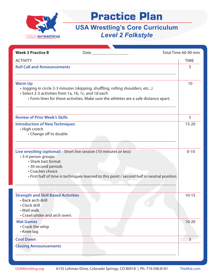

| <b>Week 3 Practice B</b><br>Date and the state of the state of the state of the state of the state of the state of the state of the state o                                                                                                                | Total Time 60-90 min |
|------------------------------------------------------------------------------------------------------------------------------------------------------------------------------------------------------------------------------------------------------------|----------------------|
| <b>ACTIVITY</b>                                                                                                                                                                                                                                            | <b>TIME</b>          |
| <b>Roll Call and Announcements</b>                                                                                                                                                                                                                         | 5                    |
|                                                                                                                                                                                                                                                            |                      |
| <b>Warm Up</b><br>· Jogging in circle 2-3 minutes (skipping, shuffling, rolling shoulders, etc)<br>• Select 2-3 activities from 1a, 1b, 1c, and 1d each<br>• Form lines for these activities. Make sure the athletes are a safe distance apart.            | 10                   |
| <b>Review of Prior Week's Skills</b>                                                                                                                                                                                                                       | 5                    |
| <b>Introduction of New Techniques</b><br>• High crotch<br>• Change off to double                                                                                                                                                                           | $15 - 20$            |
| Live wrestling (optional) - Short live session (10 minutes or less)<br>• 3-4 person groups<br>• Shark bait format<br>• 30 second periods<br>• Coaches choice<br>• First half of time is techniques learned to this point / second half in neutral position | $0 - 10$             |
| <b>Strength and Skill Based Activities</b><br>• Back arch drill<br>· Clock drill<br>• Wall walk<br>• Crawl under and arch overs                                                                                                                            | $10 - 15$            |
| <b>Mat Games</b><br>• Crack the whip<br>• Knee tag                                                                                                                                                                                                         | $10 - 20$            |
| <b>Cool Down</b>                                                                                                                                                                                                                                           | 5                    |
| <b>Closing Announcements</b>                                                                                                                                                                                                                               |                      |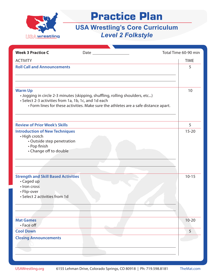

| <b>Week 3 Practice C</b>                                                                                                       |                                                                                                                                                                       | Total Time 60-90 min |
|--------------------------------------------------------------------------------------------------------------------------------|-----------------------------------------------------------------------------------------------------------------------------------------------------------------------|----------------------|
| <b>ACTIVITY</b>                                                                                                                |                                                                                                                                                                       | <b>TIME</b>          |
| <b>Roll Call and Announcements</b>                                                                                             |                                                                                                                                                                       | 5                    |
| <b>Warm Up</b><br>• Select 2-3 activities from 1a, 1b, 1c, and 1d each                                                         | · Jogging in circle 2-3 minutes (skipping, shuffling, rolling shoulders, etc)<br>• Form lines for these activities. Make sure the athletes are a safe distance apart. | 10                   |
| <b>Review of Prior Week's Skills</b>                                                                                           |                                                                                                                                                                       | 5                    |
| <b>Introduction of New Techniques</b><br>• High crotch<br>• Outside step penetration<br>• Pop finish<br>• Change off to double |                                                                                                                                                                       | $15 - 20$            |
| <b>Strength and Skill Based Activities</b><br>• Caged up<br>· Iron cross<br>• Flip-over<br>· Select 2 activities from 1d       |                                                                                                                                                                       | $10 - 15$            |
| <b>Mat Games</b><br>• Face off                                                                                                 |                                                                                                                                                                       | $10 - 20$            |
| <b>Cool Down</b>                                                                                                               |                                                                                                                                                                       | 5                    |
| <b>Closing Announcements</b>                                                                                                   |                                                                                                                                                                       |                      |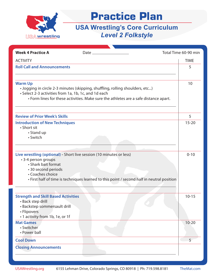

| <b>Week 4 Practice A</b>                    | Date $\equiv$                                                                              | Total Time 60-90 min |
|---------------------------------------------|--------------------------------------------------------------------------------------------|----------------------|
| <b>ACTIVITY</b>                             |                                                                                            | <b>TIME</b>          |
| <b>Roll Call and Announcements</b>          |                                                                                            | 5                    |
|                                             |                                                                                            |                      |
| <b>Warm Up</b>                              |                                                                                            | 10                   |
|                                             | . Jogging in circle 2-3 minutes (skipping, shuffling, rolling shoulders, etc)              |                      |
|                                             | • Select 2-3 activities from 1a, 1b, 1c, and 1d each                                       |                      |
|                                             | • Form lines for these activities. Make sure the athletes are a safe distance apart.       |                      |
|                                             |                                                                                            |                      |
| <b>Review of Prior Week's Skills</b>        |                                                                                            | 5                    |
| <b>Introduction of New Techniques</b>       |                                                                                            | $15 - 20$            |
| • Short sit<br>• Stand up                   |                                                                                            |                      |
| • Switch                                    |                                                                                            |                      |
|                                             |                                                                                            |                      |
|                                             |                                                                                            |                      |
|                                             | Live wrestling (optional) - Short live session (10 minutes or less)                        | $0 - 10$             |
| • 3-4 person groups                         |                                                                                            |                      |
| • Shark bait format                         |                                                                                            |                      |
| • 30 second periods<br>• Coaches choice     |                                                                                            |                      |
|                                             | • First half of time is techniques learned to this point / second half in neutral position |                      |
|                                             |                                                                                            |                      |
|                                             |                                                                                            |                      |
| <b>Strength and Skill Based Activities</b>  |                                                                                            | $10 - 15$            |
| • Back step drill                           |                                                                                            |                      |
| · Backstep sommersault drill<br>• Flipovers |                                                                                            |                      |
| • 1 activity from 1b, 1e, or 1f             |                                                                                            |                      |
| <b>Mat Games</b>                            |                                                                                            | $10 - 20$            |
| • Switcher                                  |                                                                                            |                      |
| • Power ball                                |                                                                                            |                      |
| <b>Cool Down</b>                            |                                                                                            | 5                    |
| <b>Closing Announcements</b>                |                                                                                            |                      |
|                                             |                                                                                            |                      |
|                                             |                                                                                            |                      |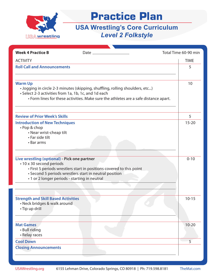

| <b>ACTIVITY</b><br><b>TIME</b><br><b>Roll Call and Announcements</b><br>5<br><b>Warm Up</b><br>10<br>. Jogging in circle 2-3 minutes (skipping, shuffling, rolling shoulders, etc)<br>• Select 2-3 activities from 1a, 1b, 1c, and 1d each<br>• Form lines for these activities. Make sure the athletes are a safe distance apart.<br><b>Review of Prior Week's Skills</b><br>5<br><b>Introduction of New Techniques</b> |           |
|--------------------------------------------------------------------------------------------------------------------------------------------------------------------------------------------------------------------------------------------------------------------------------------------------------------------------------------------------------------------------------------------------------------------------|-----------|
|                                                                                                                                                                                                                                                                                                                                                                                                                          |           |
|                                                                                                                                                                                                                                                                                                                                                                                                                          |           |
|                                                                                                                                                                                                                                                                                                                                                                                                                          |           |
|                                                                                                                                                                                                                                                                                                                                                                                                                          |           |
|                                                                                                                                                                                                                                                                                                                                                                                                                          |           |
| • Pop & chop<br>• Near wrist-cheap tilt<br>• Far side tilt<br>• Bar arms                                                                                                                                                                                                                                                                                                                                                 | $15 - 20$ |
| Live wrestling (optional) - Pick one partner<br>$0 - 10$<br>• 10 x 30 second periods<br>• First 5 periods wrestlers start in positions covered to this point<br>• Second 5 periods wrestlers start in neutral position<br>• 1 or 2 longer periods - starting in neutral                                                                                                                                                  |           |
| <b>Strength and Skill Based Activities</b><br>$10 - 15$<br>• Neck bridges & walk around<br>· Tip up drill                                                                                                                                                                                                                                                                                                                |           |
| <b>Mat Games</b><br>$10 - 20$<br>• Bull riding<br>• Relay races                                                                                                                                                                                                                                                                                                                                                          |           |
| 5<br><b>Cool Down</b>                                                                                                                                                                                                                                                                                                                                                                                                    |           |
| <b>Closing Announcements</b>                                                                                                                                                                                                                                                                                                                                                                                             |           |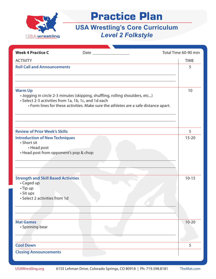

| <b>Week 4 Practice C</b>                                                                                                 |                                                                                                                                                                       | Total Time 60-90 min |
|--------------------------------------------------------------------------------------------------------------------------|-----------------------------------------------------------------------------------------------------------------------------------------------------------------------|----------------------|
| <b>ACTIVITY</b>                                                                                                          |                                                                                                                                                                       | <b>TIME</b>          |
| <b>Roll Call and Announcements</b>                                                                                       |                                                                                                                                                                       | 5                    |
| <b>Warm Up</b><br>• Select 2-3 activities from 1a, 1b, 1c, and 1d each                                                   | · Jogging in circle 2-3 minutes (skipping, shuffling, rolling shoulders, etc)<br>• Form lines for these activities. Make sure the athletes are a safe distance apart. | 10                   |
| <b>Review of Prior Week's Skills</b>                                                                                     |                                                                                                                                                                       | 5                    |
| <b>Introduction of New Techniques</b><br>• Short sit<br>• Head post<br>• Head post from opponent's pop & chop            |                                                                                                                                                                       | $15 - 20$            |
| <b>Strength and Skill Based Activities</b><br>• Caged up<br>$\cdot$ Tip up<br>• Sit ups<br>• Select 2 activities from 1d |                                                                                                                                                                       | $10 - 15$            |
| <b>Mat Games</b><br>• Spinning bear                                                                                      |                                                                                                                                                                       | $10 - 20$            |
| <b>Cool Down</b>                                                                                                         |                                                                                                                                                                       | 5                    |
| <b>Closing Announcements</b>                                                                                             |                                                                                                                                                                       |                      |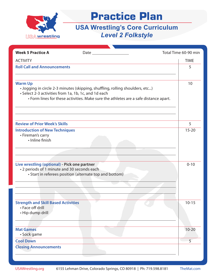

| <b>Week 5 Practice A</b>                                                                    |                                                                                                                                                                                                                               | Total Time 60-90 min |
|---------------------------------------------------------------------------------------------|-------------------------------------------------------------------------------------------------------------------------------------------------------------------------------------------------------------------------------|----------------------|
| <b>ACTIVITY</b>                                                                             |                                                                                                                                                                                                                               | <b>TIME</b>          |
| <b>Roll Call and Announcements</b>                                                          |                                                                                                                                                                                                                               | 5                    |
| <b>Warm Up</b>                                                                              | . Jogging in circle 2-3 minutes (skipping, shuffling, rolling shoulders, etc)<br>• Select 2-3 activities from 1a, 1b, 1c, and 1d each<br>• Form lines for these activities. Make sure the athletes are a safe distance apart. | 10                   |
| <b>Review of Prior Week's Skills</b>                                                        |                                                                                                                                                                                                                               | 5                    |
| <b>Introduction of New Techniques</b><br>• Fireman's carry<br>· Inline finish               |                                                                                                                                                                                                                               | $15 - 20$            |
| Live wrestling (optional) - Pick one partner<br>• 2 periods of 1 minute and 30 seconds each | • Start in referees position (alternate top and bottom)                                                                                                                                                                       | $0 - 10$             |
| <b>Strength and Skill Based Activities</b><br>• Face off drill<br>· Hip dump drill          |                                                                                                                                                                                                                               | $10 - 15$            |
| <b>Mat Games</b><br>· Sock game                                                             |                                                                                                                                                                                                                               | $10 - 20$            |
| <b>Cool Down</b>                                                                            |                                                                                                                                                                                                                               | 5                    |
| <b>Closing Announcements</b>                                                                |                                                                                                                                                                                                                               |                      |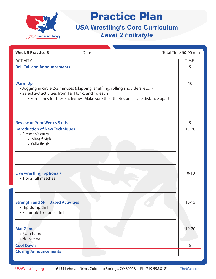

| <b>Week 5 Practice B</b>                                                                        |                                                                                                                                                                       | Total Time 60-90 min |
|-------------------------------------------------------------------------------------------------|-----------------------------------------------------------------------------------------------------------------------------------------------------------------------|----------------------|
| <b>ACTIVITY</b>                                                                                 |                                                                                                                                                                       | <b>TIME</b>          |
| <b>Roll Call and Announcements</b>                                                              |                                                                                                                                                                       | 5                    |
|                                                                                                 |                                                                                                                                                                       |                      |
| <b>Warm Up</b><br>• Select 2-3 activities from 1a, 1b, 1c, and 1d each                          | · Jogging in circle 2-3 minutes (skipping, shuffling, rolling shoulders, etc)<br>• Form lines for these activities. Make sure the athletes are a safe distance apart. | 10                   |
| <b>Review of Prior Week's Skills</b>                                                            |                                                                                                                                                                       | 5                    |
| <b>Introduction of New Techniques</b><br>• Fireman's carry<br>· Inline finish<br>• Kelly finish |                                                                                                                                                                       | $15 - 20$            |
|                                                                                                 |                                                                                                                                                                       |                      |
| <b>Live wrestling (optional)</b><br>• 1 or 2 full matches                                       |                                                                                                                                                                       | $0 - 10$             |
| <b>Strength and Skill Based Activities</b><br>• Hip dump drill<br>· Scramble to stance drill    |                                                                                                                                                                       | $10 - 15$            |
| <b>Mat Games</b><br>· Switcheroo<br>• Norske ball                                               |                                                                                                                                                                       | $10 - 20$            |
| <b>Cool Down</b>                                                                                |                                                                                                                                                                       | 5                    |
| <b>Closing Announcements</b>                                                                    |                                                                                                                                                                       |                      |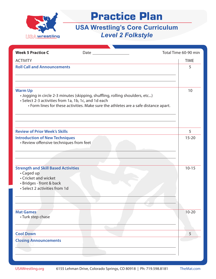

| <b>Week 5 Practice C</b>                                                                                                       |                                                                                                                                                                       | Total Time 60-90 min   |
|--------------------------------------------------------------------------------------------------------------------------------|-----------------------------------------------------------------------------------------------------------------------------------------------------------------------|------------------------|
| <b>ACTIVITY</b>                                                                                                                |                                                                                                                                                                       | <b>TIME</b>            |
| <b>Roll Call and Announcements</b>                                                                                             |                                                                                                                                                                       | 5                      |
| <b>Warm Up</b><br>• Select 2-3 activities from 1a, 1b, 1c, and 1d each                                                         | · Jogging in circle 2-3 minutes (skipping, shuffling, rolling shoulders, etc)<br>• Form lines for these activities. Make sure the athletes are a safe distance apart. | 10                     |
| <b>Review of Prior Week's Skills</b>                                                                                           |                                                                                                                                                                       | 5                      |
| <b>Introduction of New Techniques</b><br>· Review offensive techniques from feet<br><b>Strength and Skill Based Activities</b> |                                                                                                                                                                       | $15 - 20$<br>$10 - 15$ |
| • Caged up<br>• Cricket and wicket<br>· Bridges - front & back<br>• Select 2 activities from 1d                                |                                                                                                                                                                       |                        |
| <b>Mat Games</b><br>• Turk step chase                                                                                          |                                                                                                                                                                       | $10 - 20$              |
| <b>Cool Down</b>                                                                                                               |                                                                                                                                                                       | 5                      |
| <b>Closing Announcements</b>                                                                                                   |                                                                                                                                                                       |                        |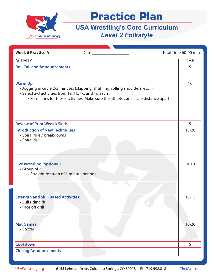

| <b>Week 6 Practice A</b>                                                                                                                                                                                                                        |  | Total Time 60-90 min |
|-------------------------------------------------------------------------------------------------------------------------------------------------------------------------------------------------------------------------------------------------|--|----------------------|
| <b>ACTIVITY</b>                                                                                                                                                                                                                                 |  | <b>TIME</b>          |
| <b>Roll Call and Announcements</b>                                                                                                                                                                                                              |  | 5                    |
| <b>Warm Up</b><br>. Jogging in circle 2-3 minutes (skipping, shuffling, rolling shoulders, etc)<br>• Select 2-3 activities from 1a, 1b, 1c, and 1d each<br>• Form lines for these activities. Make sure the athletes are a safe distance apart. |  | 10                   |
| <b>Review of Prior Week's Skills</b>                                                                                                                                                                                                            |  | 5                    |
| <b>Introduction of New Techniques</b><br>· Spiral ride / breakdowns<br>• Spiral drill                                                                                                                                                           |  | $15 - 20$            |
| <b>Live wrestling (optional)</b><br>• Group of 3<br>• Straight rotation of 1 minute periods                                                                                                                                                     |  | $0 - 10$             |
| <b>Strength and Skill Based Activities</b><br>• Bull riding drill<br>• Face off drill                                                                                                                                                           |  | $10 - 15$            |
| <b>Mat Games</b><br>· Soccer                                                                                                                                                                                                                    |  | $10 - 20$            |
| <b>Cool down</b>                                                                                                                                                                                                                                |  | 5                    |
| <b>Closing Announcements</b>                                                                                                                                                                                                                    |  |                      |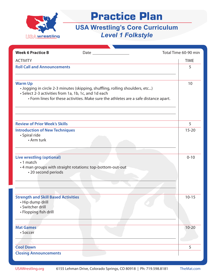

| <b>Week 6 Practice B</b>                                                                                                                                                                                                                        |                                                            | Total Time 60-90 min |
|-------------------------------------------------------------------------------------------------------------------------------------------------------------------------------------------------------------------------------------------------|------------------------------------------------------------|----------------------|
|                                                                                                                                                                                                                                                 |                                                            |                      |
| <b>ACTIVITY</b>                                                                                                                                                                                                                                 |                                                            | <b>TIME</b>          |
| <b>Roll Call and Announcements</b>                                                                                                                                                                                                              |                                                            | 5                    |
|                                                                                                                                                                                                                                                 |                                                            |                      |
| <b>Warm Up</b><br>. Jogging in circle 2-3 minutes (skipping, shuffling, rolling shoulders, etc)<br>• Select 2-3 activities from 1a, 1b, 1c, and 1d each<br>• Form lines for these activities. Make sure the athletes are a safe distance apart. |                                                            | 10                   |
| <b>Review of Prior Week's Skills</b>                                                                                                                                                                                                            |                                                            | 5                    |
| <b>Introduction of New Techniques</b><br>• Spiral ride<br>• Arm turk                                                                                                                                                                            |                                                            | $15 - 20$            |
| <b>Live wrestling (optional)</b><br>•1 match<br>• 20 second periods                                                                                                                                                                             | • 4 man groups with straight rotations: top-bottom-out-out | $0 - 10$             |
| <b>Strength and Skill Based Activities</b><br>• Hip dump drill<br>· Switcher drill<br>• Flopping fish drill                                                                                                                                     |                                                            | $10 - 15$            |
| <b>Mat Games</b><br>· Soccer                                                                                                                                                                                                                    |                                                            | $10 - 20$            |
| <b>Cool Down</b>                                                                                                                                                                                                                                |                                                            | 5                    |
| <b>Closing Announcements</b>                                                                                                                                                                                                                    |                                                            |                      |